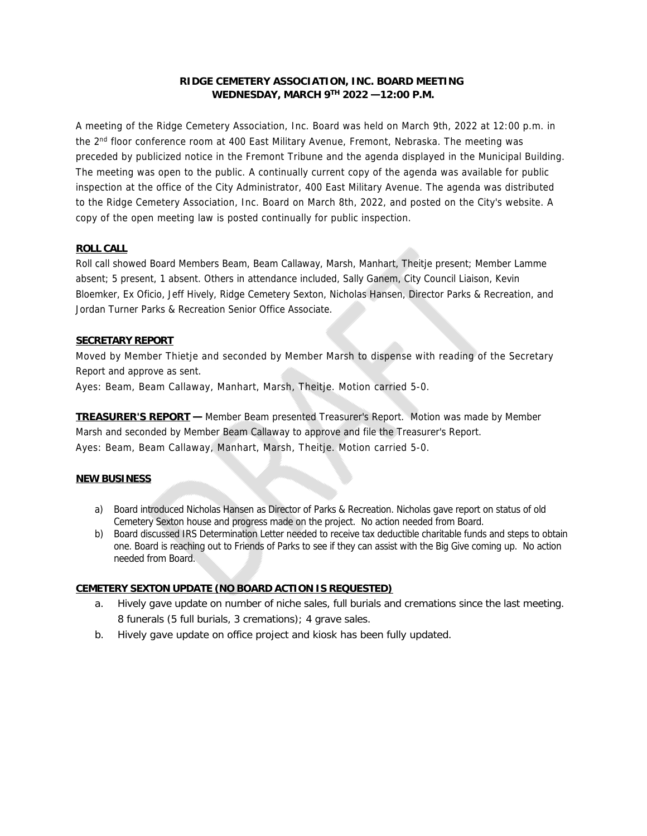# **RIDGE CEMETERY ASSOCIATION, INC. BOARD MEETING WEDNESDAY, MARCH 9TH 2022 —12:00 P.M.**

A meeting of the Ridge Cemetery Association, Inc. Board was held on March 9th, 2022 at 12:00 p.m. in the 2<sup>nd</sup> floor conference room at 400 East Military Avenue, Fremont, Nebraska. The meeting was preceded by publicized notice in the Fremont Tribune and the agenda displayed in the Municipal Building. The meeting was open to the public. A continually current copy of the agenda was available for public inspection at the office of the City Administrator, 400 East Military Avenue. The agenda was distributed to the Ridge Cemetery Association, Inc. Board on March 8th, 2022, and posted on the City's website. A copy of the open meeting law is posted continually for public inspection.

## **ROLL CALL**

Roll call showed Board Members Beam, Beam Callaway, Marsh, Manhart, Theitje present; Member Lamme absent; 5 present, 1 absent. Others in attendance included, Sally Ganem, City Council Liaison, Kevin Bloemker, Ex Oficio, Jeff Hively, Ridge Cemetery Sexton, Nicholas Hansen, Director Parks & Recreation, and Jordan Turner Parks & Recreation Senior Office Associate.

## **SECRETARY REPORT**

Moved by Member Thietje and seconded by Member Marsh to dispense with reading of the Secretary Report and approve as sent.

Ayes: Beam, Beam Callaway, Manhart, Marsh, Theitje. Motion carried 5-0.

**TREASURER'S REPORT —** Member Beam presented Treasurer's Report. Motion was made by Member Marsh and seconded by Member Beam Callaway to approve and file the Treasurer's Report. Ayes: Beam, Beam Callaway, Manhart, Marsh, Theitje. Motion carried 5-0.

# **NEW BUSINESS**

- a) Board introduced Nicholas Hansen as Director of Parks & Recreation. Nicholas gave report on status of old Cemetery Sexton house and progress made on the project. No action needed from Board.
- b) Board discussed IRS Determination Letter needed to receive tax deductible charitable funds and steps to obtain one. Board is reaching out to Friends of Parks to see if they can assist with the Big Give coming up. No action needed from Board.

#### **CEMETERY SEXTON UPDATE(NO BOARD ACTION ISREQUESTED)**

- a. Hively gave update on number of niche sales, full burials and cremations since the last meeting. 8 funerals (5 full burials, 3 cremations); 4 grave sales.
- b. Hively gave update on office project and kiosk has been fully updated.